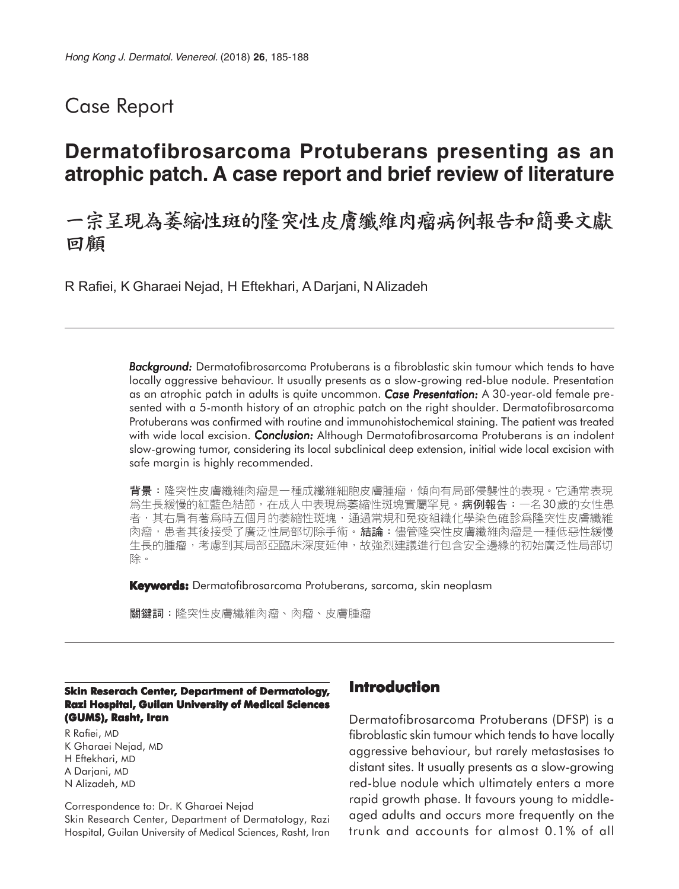### Case Report

# **Dermatofibrosarcoma Protuberans presenting as an atrophic patch. A case report and brief review of literature**

## 一宗呈現為萎縮性斑的隆突性皮膚纖維肉瘤病例報告和簡要文獻 回顧

R Rafiei, K Gharaei Nejad, H Eftekhari, A Darjani, N Alizadeh

*Background: Background:* Dermatofibrosarcoma Protuberans is a fibroblastic skin tumour which tends to have locally aggressive behaviour. It usually presents as a slow-growing red-blue nodule. Presentation as an atrophic patch in adults is quite uncommon. *Case Presentation: resentation:* A 30-year-old female presented with a 5-month history of an atrophic patch on the right shoulder. Dermatofibrosarcoma Protuberans was confirmed with routine and immunohistochemical staining. The patient was treated with wide local excision. *Conclusion:* Although Dermatofibrosarcoma Protuberans is an indolent slow-growing tumor, considering its local subclinical deep extension, initial wide local excision with safe margin is highly recommended.

背景:隆突性皮膚纖維肉瘤是一種成纖維細胞皮膚腫瘤,傾向有局部侵襲性的表現。它通常表現 爲生長緩慢的紅藍色結節,在成人中表現爲萎縮性斑塊實屬罕見。**病例報告:**一名30歲的女性患 者,其右肩有著爲時五個月的萎縮性斑塊,通過常規和免疫組織化學染色確診爲隆突性皮膚纖維 肉瘤,患者其後接受了廣泛性局部切除手術。**結論:**儘管隆突性皮膚纖維肉瘤是一種低惡性緩慢 生長的腫瘤,考慮到其局部亞臨床深度延伸,故強烈建議進行包含安全邊緣的初始廣泛性局部切 除。

**Keywords:** Dermatofibrosarcoma Protuberans, sarcoma, skin neoplasm

關鍵詞:隆突性皮膚纖維肉瘤、肉瘤、皮膚腫瘤

#### **Skin Reserach Center, Department of Dermatology, Razi Hospital, Guilan University of Medical Sciences (GUMS), Rasht, Iran**

R Rafiei, MD K Gharaei Nejad, MD H Eftekhari, MD A Darjani, MD N Alizadeh, MD

Correspondence to: Dr. K Gharaei Nejad Skin Research Center, Department of Dermatology, Razi Hospital, Guilan University of Medical Sciences, Rasht, Iran

### **Introduction**

Dermatofibrosarcoma Protuberans (DFSP) is a fibroblastic skin tumour which tends to have locally aggressive behaviour, but rarely metastasises to distant sites. It usually presents as a slow-growing red-blue nodule which ultimately enters a more rapid growth phase. It favours young to middleaged adults and occurs more frequently on the trunk and accounts for almost 0.1% of all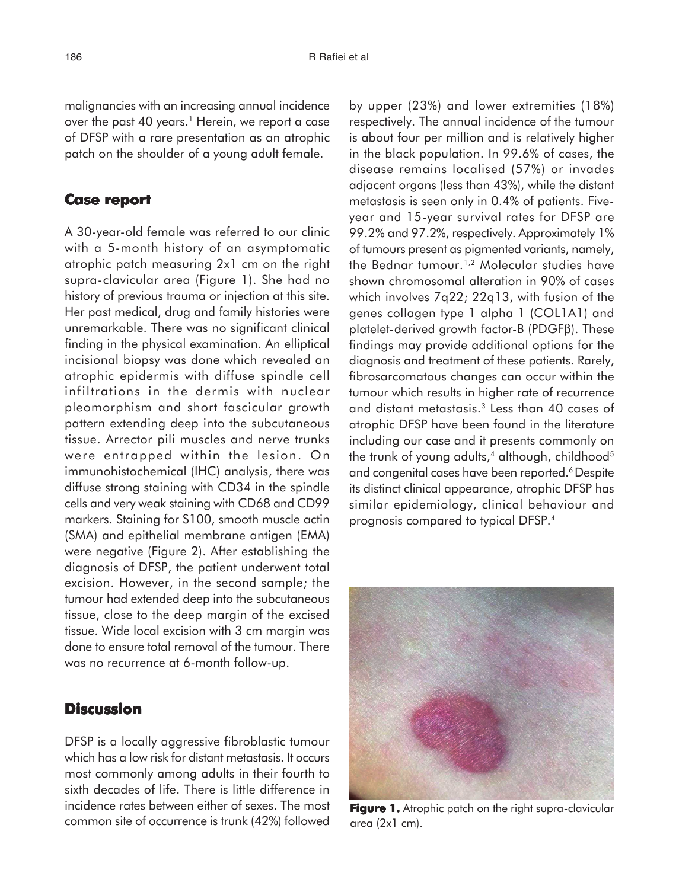malignancies with an increasing annual incidence over the past 40 years.<sup>1</sup> Herein, we report a case of DFSP with a rare presentation as an atrophic patch on the shoulder of a young adult female.

#### **Case report report**

A 30-year-old female was referred to our clinic with a 5-month history of an asymptomatic atrophic patch measuring 2x1 cm on the right supra-clavicular area (Figure 1). She had no history of previous trauma or injection at this site. Her past medical, drug and family histories were unremarkable. There was no significant clinical finding in the physical examination. An elliptical incisional biopsy was done which revealed an atrophic epidermis with diffuse spindle cell infiltrations in the dermis with nuclear pleomorphism and short fascicular growth pattern extending deep into the subcutaneous tissue. Arrector pili muscles and nerve trunks were entrapped within the lesion. On immunohistochemical (IHC) analysis, there was diffuse strong staining with CD34 in the spindle cells and very weak staining with CD68 and CD99 markers. Staining for S100, smooth muscle actin (SMA) and epithelial membrane antigen (EMA) were negative (Figure 2). After establishing the diagnosis of DFSP, the patient underwent total excision. However, in the second sample; the tumour had extended deep into the subcutaneous tissue, close to the deep margin of the excised tissue. Wide local excision with 3 cm margin was done to ensure total removal of the tumour. There was no recurrence at 6-month follow-up.

### **Discussion**

DFSP is a locally aggressive fibroblastic tumour which has a low risk for distant metastasis. It occurs most commonly among adults in their fourth to sixth decades of life. There is little difference in incidence rates between either of sexes. The most common site of occurrence is trunk (42%) followed

by upper (23%) and lower extremities (18%) respectively. The annual incidence of the tumour is about four per million and is relatively higher in the black population. In 99.6% of cases, the disease remains localised (57%) or invades adjacent organs (less than 43%), while the distant metastasis is seen only in 0.4% of patients. Fiveyear and 15-year survival rates for DFSP are 99.2% and 97.2%, respectively. Approximately 1% of tumours present as pigmented variants, namely, the Bednar tumour.<sup>1,2</sup> Molecular studies have shown chromosomal alteration in 90% of cases which involves 7q22; 22q13, with fusion of the genes collagen type 1 alpha 1 (COL1A1) and platelet-derived growth factor-B (PDGFβ). These findings may provide additional options for the diagnosis and treatment of these patients. Rarely, fibrosarcomatous changes can occur within the tumour which results in higher rate of recurrence and distant metastasis.3 Less than 40 cases of atrophic DFSP have been found in the literature including our case and it presents commonly on the trunk of young adults, $4$  although, childhood<sup>5</sup> and congenital cases have been reported.<sup>6</sup> Despite its distinct clinical appearance, atrophic DFSP has similar epidemiology, clinical behaviour and prognosis compared to typical DFSP.4



**Figure 1.** Atrophic patch on the right supra-clavicular area (2x1 cm).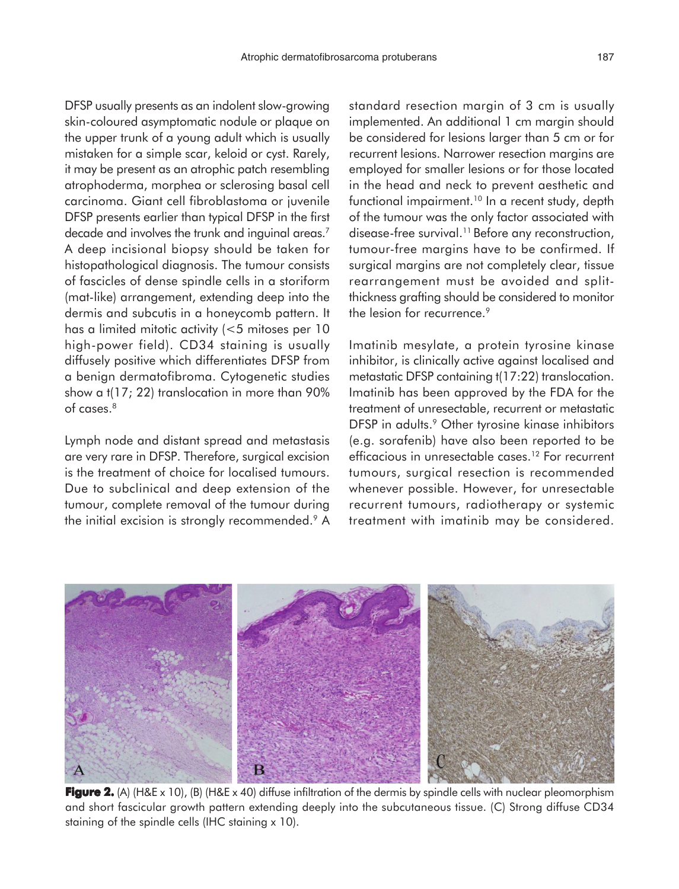DFSP usually presents as an indolent slow-growing skin-coloured asymptomatic nodule or plaque on the upper trunk of a young adult which is usually mistaken for a simple scar, keloid or cyst. Rarely, it may be present as an atrophic patch resembling atrophoderma, morphea or sclerosing basal cell carcinoma. Giant cell fibroblastoma or juvenile DFSP presents earlier than typical DFSP in the first decade and involves the trunk and inguinal areas.<sup>7</sup> A deep incisional biopsy should be taken for histopathological diagnosis. The tumour consists of fascicles of dense spindle cells in a storiform (mat-like) arrangement, extending deep into the dermis and subcutis in a honeycomb pattern. It has a limited mitotic activity (<5 mitoses per 10 high-power field). CD34 staining is usually diffusely positive which differentiates DFSP from a benign dermatofibroma. Cytogenetic studies show a t(17; 22) translocation in more than 90% of cases.<sup>8</sup>

Lymph node and distant spread and metastasis are very rare in DFSP. Therefore, surgical excision is the treatment of choice for localised tumours. Due to subclinical and deep extension of the tumour, complete removal of the tumour during the initial excision is strongly recommended.<sup>9</sup> A standard resection margin of 3 cm is usually implemented. An additional 1 cm margin should be considered for lesions larger than 5 cm or for recurrent lesions. Narrower resection margins are employed for smaller lesions or for those located in the head and neck to prevent aesthetic and functional impairment.<sup>10</sup> In a recent study, depth of the tumour was the only factor associated with disease-free survival.<sup>11</sup> Before any reconstruction, tumour-free margins have to be confirmed. If surgical margins are not completely clear, tissue rearrangement must be avoided and splitthickness grafting should be considered to monitor the lesion for recurrence.<sup>9</sup>

Imatinib mesylate, a protein tyrosine kinase inhibitor, is clinically active against localised and metastatic DFSP containing t(17:22) translocation. Imatinib has been approved by the FDA for the treatment of unresectable, recurrent or metastatic DFSP in adults.<sup>9</sup> Other tyrosine kinase inhibitors (e.g. sorafenib) have also been reported to be efficacious in unresectable cases.<sup>12</sup> For recurrent tumours, surgical resection is recommended whenever possible. However, for unresectable recurrent tumours, radiotherapy or systemic treatment with imatinib may be considered.



**Figure 2.** (A) (H&E x 10), (B) (H&E x 40) diffuse infiltration of the dermis by spindle cells with nuclear pleomorphism and short fascicular growth pattern extending deeply into the subcutaneous tissue. (C) Strong diffuse CD34 staining of the spindle cells (IHC staining x 10).